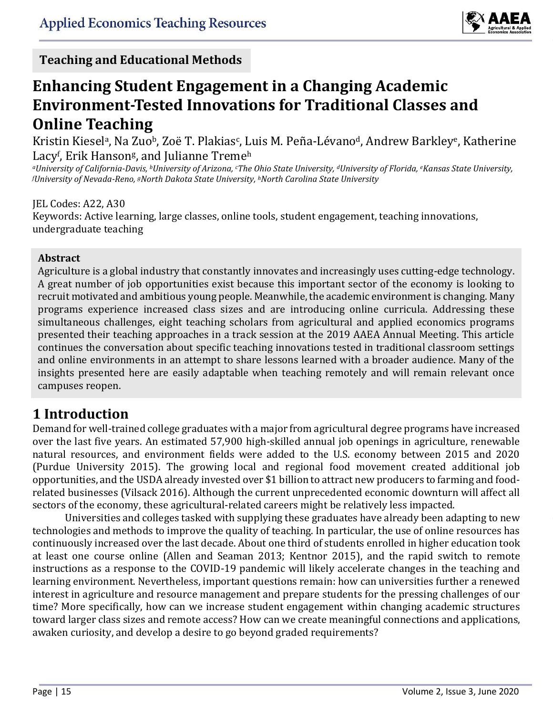

**Teaching and Educational Methods**

### **Enhancing Student Engagement in a Changing Academic Environment-Tested Innovations for Traditional Classes and Online Teaching Commentary**

Kristin Kiesel<sup>a</sup>, Na Zuo<sup>b</sup>, Zoë T. Plakias<sup>c</sup>, Luis M. Peña-Lévano<sup>d</sup>, Andrew Barkley<sup>e</sup>, Katherine Lacy<sup>f</sup>, Erik Hanson<sup>g</sup>, and Julianne Treme<sup>h</sup>

*<sup>a</sup>University of California-Davis, bUniversity of Arizona, cThe Ohio State University, dUniversity of Florida, eKansas State University, <sup>f</sup>University of Nevada-Reno, gNorth Dakota State University, <sup>h</sup>North Carolina State University*

#### JEL Codes: A22, A30

Keywords: Active learning, large classes, online tools, student engagement, teaching innovations, undergraduate teaching

#### **Abstract**

Agriculture is a global industry that constantly innovates and increasingly uses cutting-edge technology. A great number of job opportunities exist because this important sector of the economy is looking to recruit motivated and ambitious young people. Meanwhile, the academic environment is changing. Many programs experience increased class sizes and are introducing online curricula. Addressing these simultaneous challenges, eight teaching scholars from agricultural and applied economics programs presented their teaching approaches in a track session at the 2019 AAEA Annual Meeting. This article continues the conversation about specific teaching innovations tested in traditional classroom settings and online environments in an attempt to share lessons learned with a broader audience. Many of the insights presented here are easily adaptable when teaching remotely and will remain relevant once campuses reopen.

# **1 Introduction**

Demand for well-trained college graduates with a major from agricultural degree programs have increased over the last five years. An estimated 57,900 high-skilled annual job openings in agriculture, renewable natural resources, and environment fields were added to the U.S. economy between 2015 and 2020 (Purdue University 2015). The growing local and regional food movement created additional job opportunities, and the USDA already invested over \$1 billion to attract new producers to farming and foodrelated businesses (Vilsack 2016). Although the current unprecedented economic downturn will affect all sectors of the economy, these agricultural-related careers might be relatively less impacted.

Universities and colleges tasked with supplying these graduates have already been adapting to new technologies and methods to improve the quality of teaching. In particular, the use of online resources has continuously increased over the last decade. About one third of students enrolled in higher education took at least one course online (Allen and Seaman 2013; Kentnor 2015), and the rapid switch to remote instructions as a response to the COVID-19 pandemic will likely accelerate changes in the teaching and learning environment. Nevertheless, important questions remain: how can universities further a renewed interest in agriculture and resource management and prepare students for the pressing challenges of our time? More specifically, how can we increase student engagement within changing academic structures toward larger class sizes and remote access? How can we create meaningful connections and applications, awaken curiosity, and develop a desire to go beyond graded requirements?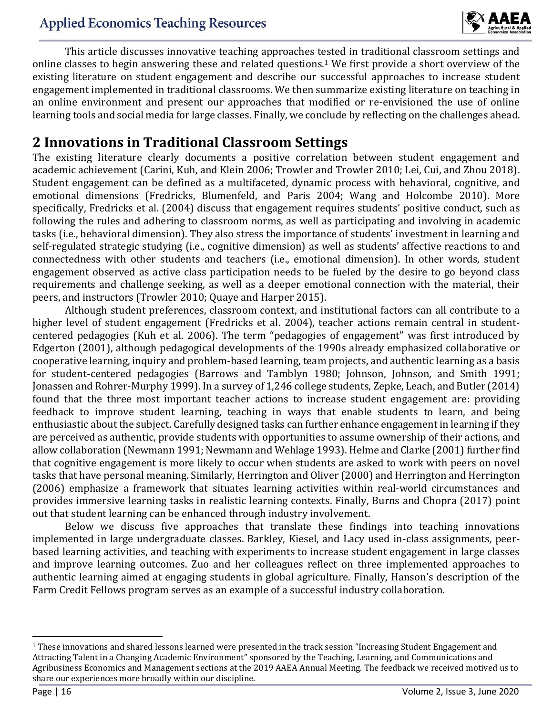

This article discusses innovative teaching approaches tested in traditional classroom settings and online classes to begin answering these and related questions.<sup>1</sup> We first provide a short overview of the existing literature on student engagement and describe our successful approaches to increase student engagement implemented in traditional classrooms. We then summarize existing literature on teaching in an online environment and present our approaches that modified or re-envisioned the use of online learning tools and social media for large classes. Finally, we conclude by reflecting on the challenges ahead.

### **2 Innovations in Traditional Classroom Settings**

The existing literature clearly documents a positive correlation between student engagement and academic achievement (Carini, Kuh, and Klein 2006; Trowler and Trowler 2010; Lei, Cui, and Zhou 2018). Student engagement can be defined as a multifaceted, dynamic process with behavioral, cognitive, and emotional dimensions (Fredricks, Blumenfeld, and Paris 2004; Wang and Holcombe 2010). More specifically, Fredricks et al. (2004) discuss that engagement requires students' positive conduct, such as following the rules and adhering to classroom norms, as well as participating and involving in academic tasks (i.e., behavioral dimension). They also stress the importance of students' investment in learning and self-regulated strategic studying (i.e., cognitive dimension) as well as students' affective reactions to and connectedness with other students and teachers (i.e., emotional dimension). In other words, student engagement observed as active class participation needs to be fueled by the desire to go beyond class requirements and challenge seeking, as well as a deeper emotional connection with the material, their peers, and instructors (Trowler 2010; Quaye and Harper 2015).

Although student preferences, classroom context, and institutional factors can all contribute to a higher level of student engagement (Fredricks et al. 2004), teacher actions remain central in studentcentered pedagogies (Kuh et al. 2006). The term "pedagogies of engagement" was first introduced by Edgerton (2001), although pedagogical developments of the 1990s already emphasized collaborative or cooperative learning, inquiry and problem-based learning, team projects, and authentic learning as a basis for student-centered pedagogies (Barrows and Tamblyn 1980; Johnson, Johnson, and Smith 1991; Jonassen and Rohrer-Murphy 1999). In a survey of 1,246 college students, Zepke, Leach, and Butler (2014) found that the three most important teacher actions to increase student engagement are: providing feedback to improve student learning, teaching in ways that enable students to learn, and being enthusiastic about the subject. Carefully designed tasks can further enhance engagement in learning if they are perceived as authentic, provide students with opportunities to assume ownership of their actions, and allow collaboration (Newmann 1991; Newmann and Wehlage 1993). Helme and Clarke (2001) further find that cognitive engagement is more likely to occur when students are asked to work with peers on novel tasks that have personal meaning. Similarly, Herrington and Oliver (2000) and Herrington and Herrington (2006) emphasize a framework that situates learning activities within real-world circumstances and provides immersive learning tasks in realistic learning contexts. Finally, Burns and Chopra (2017) point out that student learning can be enhanced through industry involvement.

Below we discuss five approaches that translate these findings into teaching innovations implemented in large undergraduate classes. Barkley, Kiesel, and Lacy used in-class assignments, peerbased learning activities, and teaching with experiments to increase student engagement in large classes and improve learning outcomes. Zuo and her colleagues reflect on three implemented approaches to authentic learning aimed at engaging students in global agriculture. Finally, Hanson's description of the Farm Credit Fellows program serves as an example of a successful industry collaboration.

 $1$  These innovations and shared lessons learned were presented in the track session "Increasing Student Engagement and Attracting Talent in a Changing Academic Environment" sponsored by the Teaching, Learning, and Communications and Agribusiness Economics and Management sections at the 2019 AAEA Annual Meeting. The feedback we received motived us to share our experiences more broadly within our discipline.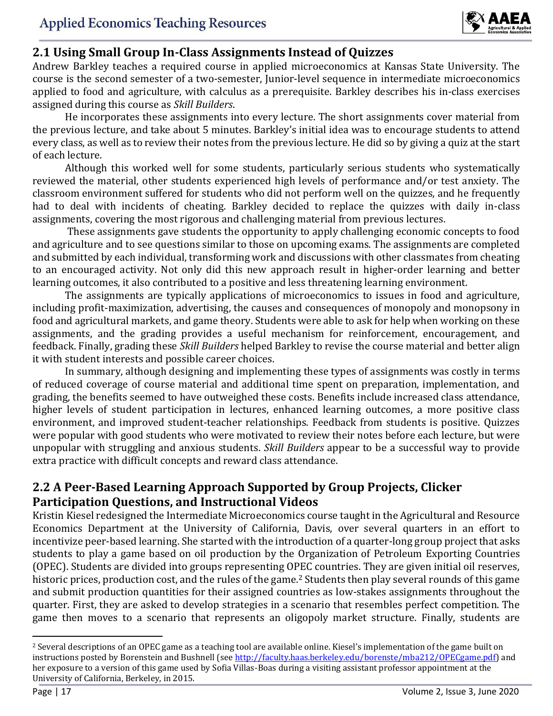

### **2.1 Using Small Group In-Class Assignments Instead of Quizzes**

Andrew Barkley teaches a required course in applied microeconomics at Kansas State University. The course is the second semester of a two-semester, Junior-level sequence in intermediate microeconomics applied to food and agriculture, with calculus as a prerequisite. Barkley describes his in-class exercises assigned during this course as *Skill Builders*.

He incorporates these assignments into every lecture. The short assignments cover material from the previous lecture, and take about 5 minutes. Barkley's initial idea was to encourage students to attend every class, as well as to review their notes from the previous lecture. He did so by giving a quiz at the start of each lecture.

Although this worked well for some students, particularly serious students who systematically reviewed the material, other students experienced high levels of performance and/or test anxiety. The classroom environment suffered for students who did not perform well on the quizzes, and he frequently had to deal with incidents of cheating. Barkley decided to replace the quizzes with daily in-class assignments, covering the most rigorous and challenging material from previous lectures.

These assignments gave students the opportunity to apply challenging economic concepts to food and agriculture and to see questions similar to those on upcoming exams. The assignments are completed and submitted by each individual, transforming work and discussions with other classmates from cheating to an encouraged activity. Not only did this new approach result in higher-order learning and better learning outcomes, it also contributed to a positive and less threatening learning environment.

The assignments are typically applications of microeconomics to issues in food and agriculture, including profit-maximization, advertising, the causes and consequences of monopoly and monopsony in food and agricultural markets, and game theory. Students were able to ask for help when working on these assignments, and the grading provides a useful mechanism for reinforcement, encouragement, and feedback. Finally, grading these *Skill Builders* helped Barkley to revise the course material and better align it with student interests and possible career choices.

In summary, although designing and implementing these types of assignments was costly in terms of reduced coverage of course material and additional time spent on preparation, implementation, and grading, the benefits seemed to have outweighed these costs. Benefits include increased class attendance, higher levels of student participation in lectures, enhanced learning outcomes, a more positive class environment, and improved student-teacher relationships. Feedback from students is positive. Quizzes were popular with good students who were motivated to review their notes before each lecture, but were unpopular with struggling and anxious students. *Skill Builders* appear to be a successful way to provide extra practice with difficult concepts and reward class attendance.

### **2.2 A Peer-Based Learning Approach Supported by Group Projects, Clicker Participation Questions, and Instructional Videos**

Kristin Kiesel redesigned the Intermediate Microeconomics course taught in the Agricultural and Resource Economics Department at the University of California, Davis, over several quarters in an effort to incentivize peer-based learning. She started with the introduction of a quarter-long group project that asks students to play a game based on oil production by the Organization of Petroleum Exporting Countries (OPEC). Students are divided into groups representing OPEC countries. They are given initial oil reserves, historic prices, production cost, and the rules of the game.<sup>2</sup> Students then play several rounds of this game and submit production quantities for their assigned countries as low-stakes assignments throughout the quarter. First, they are asked to develop strategies in a scenario that resembles perfect competition. The game then moves to a scenario that represents an oligopoly market structure. Finally, students are

<sup>&</sup>lt;sup>2</sup> Several descriptions of an OPEC game as a teaching tool are available online. Kiesel's implementation of the game built on instructions posted by Borenstein and Bushnell (see http://faculty.haas.berkeley.edu/borenste/mba212/OPECgame.pdf) and her exposure to a version of this game used by Sofia Villas-Boas during a visiting assistant professor appointment at the University of California, Berkeley, in 2015.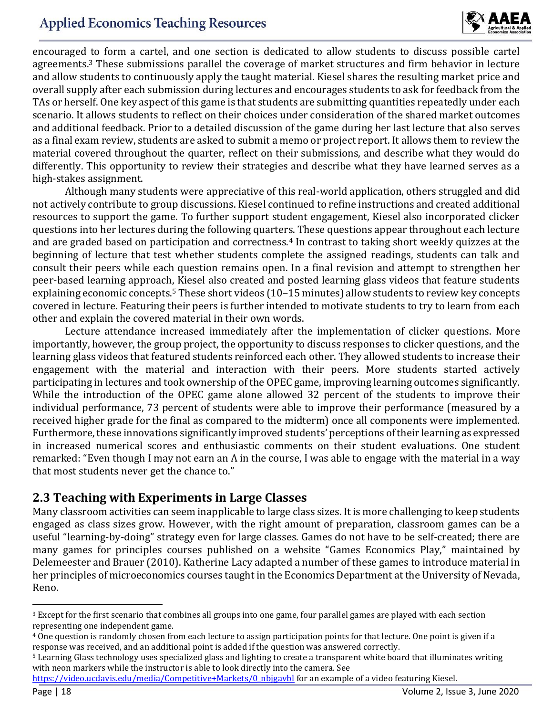# **Applied Economics Teaching Resources**



encouraged to form a cartel, and one section is dedicated to allow students to discuss possible cartel agreements.<sup>3</sup> These submissions parallel the coverage of market structures and firm behavior in lecture and allow students to continuously apply the taught material. Kiesel shares the resulting market price and overall supply after each submission during lectures and encourages students to ask for feedback from the TAs or herself. One key aspect of this game is that students are submitting quantities repeatedly under each scenario. It allows students to reflect on their choices under consideration of the shared market outcomes and additional feedback. Prior to a detailed discussion of the game during her last lecture that also serves as a final exam review, students are asked to submit a memo or project report. It allows them to review the material covered throughout the quarter, reflect on their submissions, and describe what they would do differently. This opportunity to review their strategies and describe what they have learned serves as a high-stakes assignment.

Although many students were appreciative of this real-world application, others struggled and did not actively contribute to group discussions. Kiesel continued to refine instructions and created additional resources to support the game. To further support student engagement, Kiesel also incorporated clicker questions into her lectures during the following quarters. These questions appear throughout each lecture and are graded based on participation and correctness.<sup>4</sup> In contrast to taking short weekly quizzes at the beginning of lecture that test whether students complete the assigned readings, students can talk and consult their peers while each question remains open. In a final revision and attempt to strengthen her peer-based learning approach, Kiesel also created and posted learning glass videos that feature students explaining economic concepts.<sup>5</sup> These short videos (10–15 minutes) allow students to review key concepts covered in lecture. Featuring their peers is further intended to motivate students to try to learn from each other and explain the covered material in their own words.

Lecture attendance increased immediately after the implementation of clicker questions. More importantly, however, the group project, the opportunity to discuss responses to clicker questions, and the learning glass videos that featured students reinforced each other. They allowed students to increase their engagement with the material and interaction with their peers. More students started actively participating in lectures and took ownership of the OPEC game, improving learning outcomes significantly. While the introduction of the OPEC game alone allowed 32 percent of the students to improve their individual performance, 73 percent of students were able to improve their performance (measured by a received higher grade for the final as compared to the midterm) once all components were implemented. Furthermore, these innovations significantly improved students' perceptions of their learning as expressed in increased numerical scores and enthusiastic comments on their student evaluations. One student remarked: "Even though I may not earn an A in the course, I was able to engage with the material in a way that most students never get the chance to."

#### **2.3 Teaching with Experiments in Large Classes**

Many classroom activities can seem inapplicable to large class sizes. It is more challenging to keep students engaged as class sizes grow. However, with the right amount of preparation, classroom games can be a useful "learning-by-doing" strategy even for large classes. Games do not have to be self-created; there are many games for principles courses published on a website "Games Economics Play," maintained by Delemeester and Brauer (2010). Katherine Lacy adapted a number of these games to introduce material in her principles of microeconomics courses taught in the Economics Department at the University of Nevada, Reno.

<sup>&</sup>lt;sup>3</sup> Except for the first scenario that combines all groups into one game, four parallel games are played with each section representing one independent game.

<sup>4</sup> One question is randomly chosen from each lecture to assign participation points for that lecture. One point is given if a response was received, and an additional point is added if the question was answered correctly.

<sup>5</sup> Learning Glass technology uses specialized glass and lighting to create a transparent white board that illuminates writing with neon markers while the instructor is able to look directly into the camera. See

https://video.ucdavis.edu/media/Competitive+Markets/0\_nbjgavbl for an example of a video featuring Kiesel.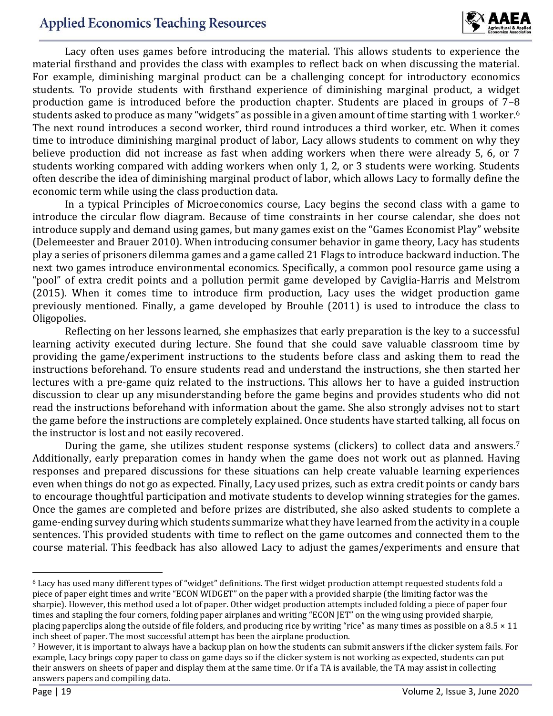

Lacy often uses games before introducing the material. This allows students to experience the material firsthand and provides the class with examples to reflect back on when discussing the material. For example, diminishing marginal product can be a challenging concept for introductory economics students. To provide students with firsthand experience of diminishing marginal product, a widget production game is introduced before the production chapter. Students are placed in groups of 7–8 students asked to produce as many "widgets" as possible in a given amount of time starting with 1 worker.<sup>6</sup> The next round introduces a second worker, third round introduces a third worker, etc. When it comes time to introduce diminishing marginal product of labor, Lacy allows students to comment on why they believe production did not increase as fast when adding workers when there were already 5, 6, or 7 students working compared with adding workers when only 1, 2, or 3 students were working. Students often describe the idea of diminishing marginal product of labor, which allows Lacy to formally define the economic term while using the class production data.

In a typical Principles of Microeconomics course, Lacy begins the second class with a game to introduce the circular flow diagram. Because of time constraints in her course calendar, she does not introduce supply and demand using games, but many games exist on the "Games Economist Play" website (Delemeester and Brauer 2010). When introducing consumer behavior in game theory, Lacy has students play a series of prisoners dilemma games and a game called 21 Flags to introduce backward induction. The next two games introduce environmental economics. Specifically, a common pool resource game using a "pool" of extra credit points and a pollution permit game developed by Caviglia-Harris and Melstrom (2015). When it comes time to introduce firm production, Lacy uses the widget production game previously mentioned. Finally, a game developed by Brouhle (2011) is used to introduce the class to Oligopolies.

Reflecting on her lessons learned, she emphasizes that early preparation is the key to a successful learning activity executed during lecture. She found that she could save valuable classroom time by providing the game/experiment instructions to the students before class and asking them to read the instructions beforehand. To ensure students read and understand the instructions, she then started her lectures with a pre-game quiz related to the instructions. This allows her to have a guided instruction discussion to clear up any misunderstanding before the game begins and provides students who did not read the instructions beforehand with information about the game. She also strongly advises not to start the game before the instructions are completely explained. Once students have started talking, all focus on the instructor is lost and not easily recovered.

During the game, she utilizes student response systems (clickers) to collect data and answers.<sup>7</sup> Additionally, early preparation comes in handy when the game does not work out as planned. Having responses and prepared discussions for these situations can help create valuable learning experiences even when things do not go as expected. Finally, Lacy used prizes, such as extra credit points or candy bars to encourage thoughtful participation and motivate students to develop winning strategies for the games. Once the games are completed and before prizes are distributed, she also asked students to complete a game-ending survey during which students summarize what they have learned from the activity in a couple sentences. This provided students with time to reflect on the game outcomes and connected them to the course material. This feedback has also allowed Lacy to adjust the games/experiments and ensure that

<sup>6</sup> Lacy has used many different types of "widget" definitions. The first widget production attempt requested students fold a piece of paper eight times and write "ECON WIDGET" on the paper with a provided sharpie (the limiting factor was the sharpie). However, this method used a lot of paper. Other widget production attempts included folding a piece of paper four times and stapling the four corners, folding paper airplanes and writing "ECON JET" on the wing using provided sharpie, placing paperclips along the outside of file folders, and producing rice by writing "rice" as many times as possible on a  $8.5 \times 11$ inch sheet of paper. The most successful attempt has been the airplane production.

<sup>7</sup> However, it is important to always have a backup plan on how the students can submit answers if the clicker system fails. For example, Lacy brings copy paper to class on game days so if the clicker system is not working as expected, students can put their answers on sheets of paper and display them at the same time. Or if a TA is available, the TA may assist in collecting answers papers and compiling data.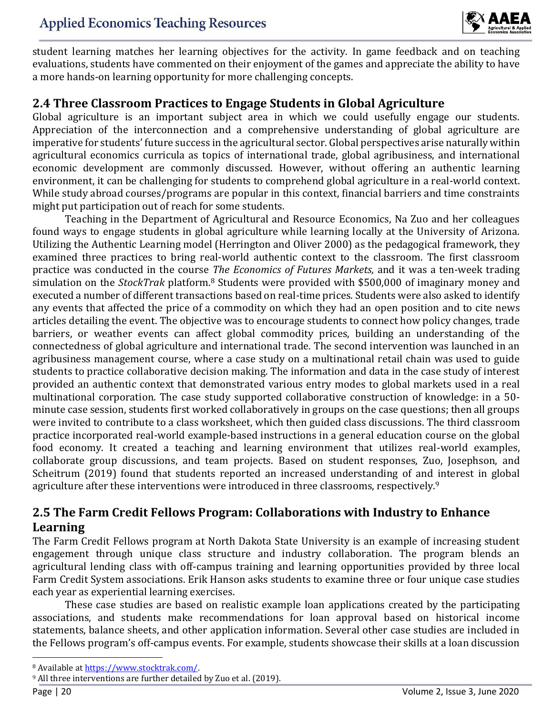

student learning matches her learning objectives for the activity. In game feedback and on teaching evaluations, students have commented on their enjoyment of the games and appreciate the ability to have a more hands-on learning opportunity for more challenging concepts.

### **2.4 Three Classroom Practices to Engage Students in Global Agriculture**

Global agriculture is an important subject area in which we could usefully engage our students. Appreciation of the interconnection and a comprehensive understanding of global agriculture are imperative for students' future success in the agricultural sector. Global perspectives arise naturally within agricultural economics curricula as topics of international trade, global agribusiness, and international economic development are commonly discussed. However, without offering an authentic learning environment, it can be challenging for students to comprehend global agriculture in a real-world context. While study abroad courses/programs are popular in this context, financial barriers and time constraints might put participation out of reach for some students.

Teaching in the Department of Agricultural and Resource Economics, Na Zuo and her colleagues found ways to engage students in global agriculture while learning locally at the University of Arizona. Utilizing the Authentic Learning model (Herrington and Oliver 2000) as the pedagogical framework, they examined three practices to bring real-world authentic context to the classroom. The first classroom practice was conducted in the course *The Economics of Futures Markets,* and it was a ten-week trading simulation on the *StockTrak* platform.<sup>8</sup> Students were provided with \$500,000 of imaginary money and executed a number of different transactions based on real-time prices. Students were also asked to identify any events that affected the price of a commodity on which they had an open position and to cite news articles detailing the event. The objective was to encourage students to connect how policy changes, trade barriers, or weather events can affect global commodity prices, building an understanding of the connectedness of global agriculture and international trade. The second intervention was launched in an agribusiness management course, where a case study on a multinational retail chain was used to guide students to practice collaborative decision making. The information and data in the case study of interest provided an authentic context that demonstrated various entry modes to global markets used in a real multinational corporation. The case study supported collaborative construction of knowledge: in a 50 minute case session, students first worked collaboratively in groups on the case questions; then all groups were invited to contribute to a class worksheet, which then guided class discussions. The third classroom practice incorporated real-world example-based instructions in a general education course on the global food economy. It created a teaching and learning environment that utilizes real-world examples, collaborate group discussions, and team projects. Based on student responses, Zuo, Josephson, and Scheitrum (2019) found that students reported an increased understanding of and interest in global agriculture after these interventions were introduced in three classrooms, respectively.<sup>9</sup>

### **2.5 The Farm Credit Fellows Program: Collaborations with Industry to Enhance Learning**

The Farm Credit Fellows program at North Dakota State University is an example of increasing student engagement through unique class structure and industry collaboration. The program blends an agricultural lending class with off-campus training and learning opportunities provided by three local Farm Credit System associations. Erik Hanson asks students to examine three or four unique case studies each year as experiential learning exercises.

These case studies are based on realistic example loan applications created by the participating associations, and students make recommendations for loan approval based on historical income statements, balance sheets, and other application information. Several other case studies are included in the Fellows program's off-campus events. For example, students showcase their skills at a loan discussion

l

<sup>8</sup> Available at https://www.stocktrak.com/.

<sup>9</sup> All three interventions are further detailed by Zuo et al. (2019).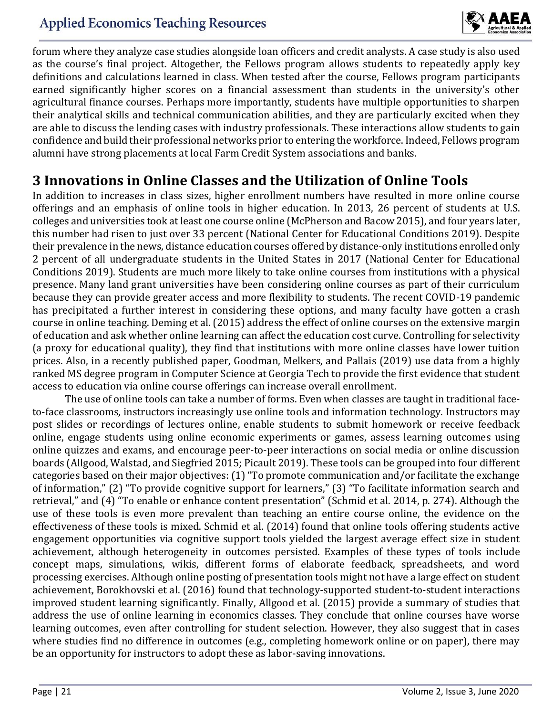

forum where they analyze case studies alongside loan officers and credit analysts. A case study is also used as the course's final project. Altogether, the Fellows program allows students to repeatedly apply key definitions and calculations learned in class. When tested after the course, Fellows program participants earned significantly higher scores on a financial assessment than students in the university's other agricultural finance courses. Perhaps more importantly, students have multiple opportunities to sharpen their analytical skills and technical communication abilities, and they are particularly excited when they are able to discuss the lending cases with industry professionals. These interactions allow students to gain confidence and build their professional networks prior to entering the workforce. Indeed, Fellows program alumni have strong placements at local Farm Credit System associations and banks.

### **3 Innovations in Online Classes and the Utilization of Online Tools**

In addition to increases in class sizes, higher enrollment numbers have resulted in more online course offerings and an emphasis of online tools in higher education. In 2013, 26 percent of students at U.S. colleges and universities took at least one course online (McPherson and Bacow 2015), and four years later, this number had risen to just over 33 percent (National Center for Educational Conditions 2019). Despite their prevalence in the news, distance education courses offered by distance-only institutions enrolled only 2 percent of all undergraduate students in the United States in 2017 (National Center for Educational Conditions 2019). Students are much more likely to take online courses from institutions with a physical presence. Many land grant universities have been considering online courses as part of their curriculum because they can provide greater access and more flexibility to students. The recent COVID-19 pandemic has precipitated a further interest in considering these options, and many faculty have gotten a crash course in online teaching. Deming et al. (2015) address the effect of online courses on the extensive margin of education and ask whether online learning can affect the education cost curve. Controlling for selectivity (a proxy for educational quality), they find that institutions with more online classes have lower tuition prices. Also, in a recently published paper, Goodman, Melkers, and Pallais (2019) use data from a highly ranked MS degree program in Computer Science at Georgia Tech to provide the first evidence that student access to education via online course offerings can increase overall enrollment.

The use of online tools can take a number of forms. Even when classes are taught in traditional faceto-face classrooms, instructors increasingly use online tools and information technology. Instructors may post slides or recordings of lectures online, enable students to submit homework or receive feedback online, engage students using online economic experiments or games, assess learning outcomes using online quizzes and exams, and encourage peer-to-peer interactions on social media or online discussion boards (Allgood, Walstad, and Siegfried 2015; Picault 2019). These tools can be grouped into four different categories based on their major objectives: (1) "To promote communication and/or facilitate the exchange of information," (2) "To provide cognitive support for learners," (3) "To facilitate information search and retrieval," and (4) "To enable or enhance content presentation" (Schmid et al. 2014, p. 274). Although the use of these tools is even more prevalent than teaching an entire course online, the evidence on the effectiveness of these tools is mixed. Schmid et al. (2014) found that online tools offering students active engagement opportunities via cognitive support tools yielded the largest average effect size in student achievement, although heterogeneity in outcomes persisted. Examples of these types of tools include concept maps, simulations, wikis, different forms of elaborate feedback, spreadsheets, and word processing exercises. Although online posting of presentation tools might not have a large effect on student achievement, Borokhovski et al. (2016) found that technology-supported student-to-student interactions improved student learning significantly. Finally, Allgood et al. (2015) provide a summary of studies that address the use of online learning in economics classes. They conclude that online courses have worse learning outcomes, even after controlling for student selection. However, they also suggest that in cases where studies find no difference in outcomes (e.g., completing homework online or on paper), there may be an opportunity for instructors to adopt these as labor-saving innovations.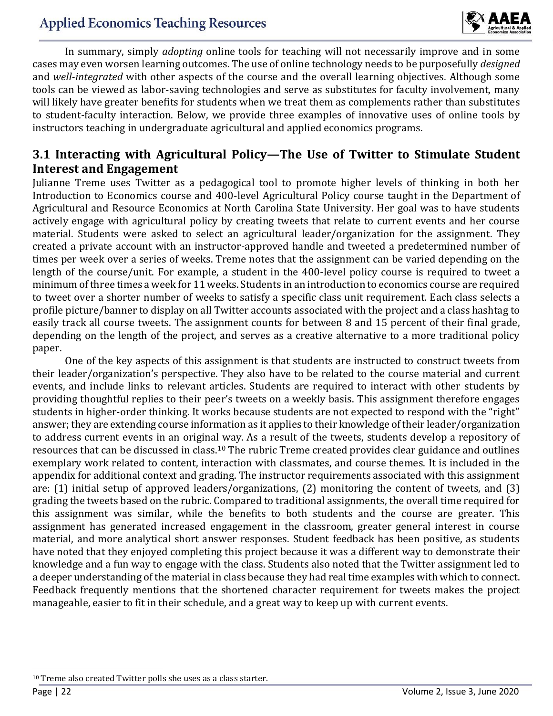

In summary, simply *adopting* online tools for teaching will not necessarily improve and in some cases may even worsen learning outcomes. The use of online technology needs to be purposefully *designed*  and *well-integrated* with other aspects of the course and the overall learning objectives*.* Although some tools can be viewed as labor-saving technologies and serve as substitutes for faculty involvement, many will likely have greater benefits for students when we treat them as complements rather than substitutes to student-faculty interaction. Below, we provide three examples of innovative uses of online tools by instructors teaching in undergraduate agricultural and applied economics programs.

#### **3.1 Interacting with Agricultural Policy—The Use of Twitter to Stimulate Student Interest and Engagement**

Julianne Treme uses Twitter as a pedagogical tool to promote higher levels of thinking in both her Introduction to Economics course and 400-level Agricultural Policy course taught in the Department of Agricultural and Resource Economics at North Carolina State University. Her goal was to have students actively engage with agricultural policy by creating tweets that relate to current events and her course material. Students were asked to select an agricultural leader/organization for the assignment. They created a private account with an instructor-approved handle and tweeted a predetermined number of times per week over a series of weeks. Treme notes that the assignment can be varied depending on the length of the course/unit. For example, a student in the 400-level policy course is required to tweet a minimum of three times a week for 11 weeks. Students in an introduction to economics course are required to tweet over a shorter number of weeks to satisfy a specific class unit requirement. Each class selects a profile picture/banner to display on all Twitter accounts associated with the project and a class hashtag to easily track all course tweets. The assignment counts for between 8 and 15 percent of their final grade, depending on the length of the project, and serves as a creative alternative to a more traditional policy paper.

One of the key aspects of this assignment is that students are instructed to construct tweets from their leader/organization's perspective. They also have to be related to the course material and current events, and include links to relevant articles. Students are required to interact with other students by providing thoughtful replies to their peer's tweets on a weekly basis. This assignment therefore engages students in higher-order thinking. It works because students are not expected to respond with the "right" answer; they are extending course information as it applies to their knowledge of their leader/organization to address current events in an original way. As a result of the tweets, students develop a repository of resources that can be discussed in class.<sup>10</sup> The rubric Treme created provides clear guidance and outlines exemplary work related to content, interaction with classmates, and course themes. It is included in the appendix for additional context and grading. The instructor requirements associated with this assignment are: (1) initial setup of approved leaders/organizations, (2) monitoring the content of tweets, and (3) grading the tweets based on the rubric. Compared to traditional assignments, the overall time required for this assignment was similar, while the benefits to both students and the course are greater. This assignment has generated increased engagement in the classroom, greater general interest in course material, and more analytical short answer responses. Student feedback has been positive, as students have noted that they enjoyed completing this project because it was a different way to demonstrate their knowledge and a fun way to engage with the class. Students also noted that the Twitter assignment led to a deeper understanding of the material in class because they had real time examples with which to connect. Feedback frequently mentions that the shortened character requirement for tweets makes the project manageable, easier to fit in their schedule, and a great way to keep up with current events.

l

<sup>10</sup> Treme also created Twitter polls she uses as a class starter.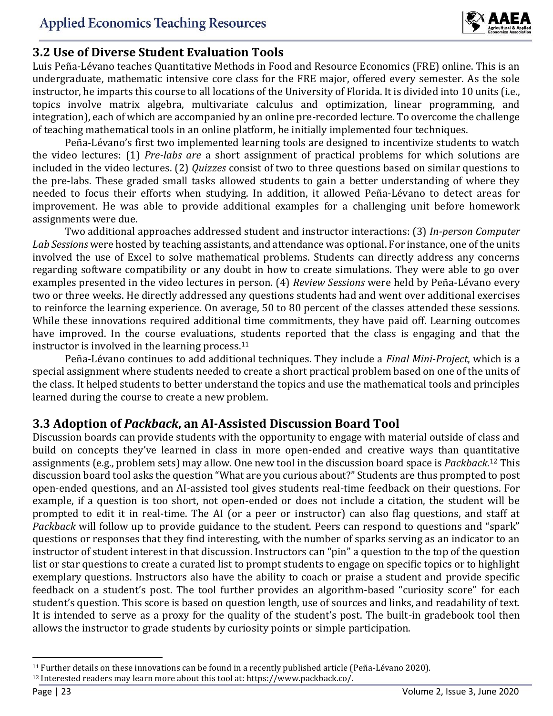

#### **3.2 Use of Diverse Student Evaluation Tools**

Luis Peña-Lévano teaches Quantitative Methods in Food and Resource Economics (FRE) online. This is an undergraduate, mathematic intensive core class for the FRE major, offered every semester. As the sole instructor, he imparts this course to all locations of the University of Florida. It is divided into 10 units (i.e., topics involve matrix algebra, multivariate calculus and optimization, linear programming, and integration), each of which are accompanied by an online pre-recorded lecture. To overcome the challenge of teaching mathematical tools in an online platform, he initially implemented four techniques.

Peña-Lévano's first two implemented learning tools are designed to incentivize students to watch the video lectures: (1) *Pre-labs are* a short assignment of practical problems for which solutions are included in the video lectures. (2) *Quizzes* consist of two to three questions based on similar questions to the pre-labs. These graded small tasks allowed students to gain a better understanding of where they needed to focus their efforts when studying. In addition, it allowed Peña-Lévano to detect areas for improvement. He was able to provide additional examples for a challenging unit before homework assignments were due.

Two additional approaches addressed student and instructor interactions: (3) *In-person Computer Lab Sessions* were hosted by teaching assistants, and attendance was optional. For instance, one of the units involved the use of Excel to solve mathematical problems. Students can directly address any concerns regarding software compatibility or any doubt in how to create simulations. They were able to go over examples presented in the video lectures in person. (4) *Review Sessions* were held by Peña-Lévano every two or three weeks. He directly addressed any questions students had and went over additional exercises to reinforce the learning experience. On average, 50 to 80 percent of the classes attended these sessions. While these innovations required additional time commitments, they have paid off. Learning outcomes have improved. In the course evaluations, students reported that the class is engaging and that the instructor is involved in the learning process.<sup>11</sup>

Peña-Lévano continues to add additional techniques. They include a *Final Mini-Project*, which is a special assignment where students needed to create a short practical problem based on one of the units of the class. It helped students to better understand the topics and use the mathematical tools and principles learned during the course to create a new problem.

### **3.3 Adoption of** *Packback***, an AI-Assisted Discussion Board Tool**

Discussion boards can provide students with the opportunity to engage with material outside of class and build on concepts they've learned in class in more open-ended and creative ways than quantitative assignments (e.g., problem sets) may allow. One new tool in the discussion board space is *Packback*. <sup>12</sup> This discussion board tool asks the question "What are you curious about?" Students are thus prompted to post open-ended questions, and an AI-assisted tool gives students real-time feedback on their questions. For example, if a question is too short, not open-ended or does not include a citation, the student will be prompted to edit it in real-time. The AI (or a peer or instructor) can also flag questions, and staff at *Packback* will follow up to provide guidance to the student. Peers can respond to questions and "spark" questions or responses that they find interesting, with the number of sparks serving as an indicator to an instructor of student interest in that discussion. Instructors can "pin" a question to the top of the question list or star questions to create a curated list to prompt students to engage on specific topics or to highlight exemplary questions. Instructors also have the ability to coach or praise a student and provide specific feedback on a student's post. The tool further provides an algorithm-based "curiosity score" for each student's question. This score is based on question length, use of sources and links, and readability of text. It is intended to serve as a proxy for the quality of the student's post. The built-in gradebook tool then allows the instructor to grade students by curiosity points or simple participation.

l

<sup>11</sup> Further details on these innovations can be found in a recently published article (Peña-Lévano 2020). <sup>12</sup> Interested readers may learn more about this tool at: https://www.packback.co/.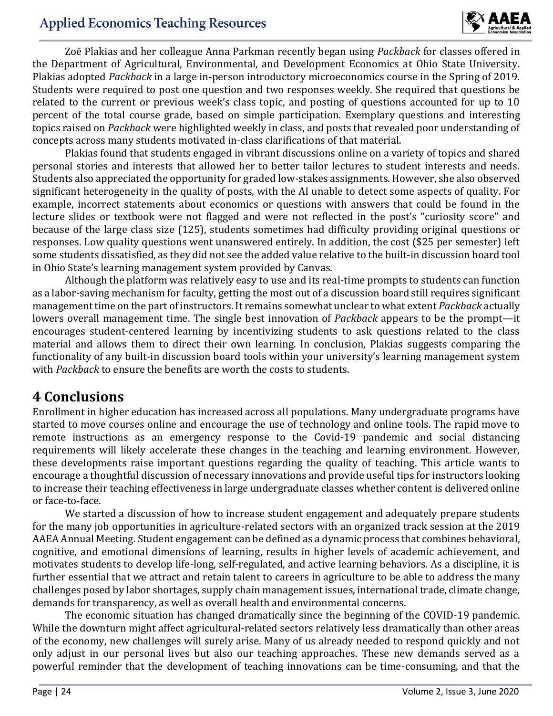### **Applied Economics Teaching Resources**



Zoë Plakias and her colleague Anna Parkman recently began using *Packback* for classes offered in the Department of Agricultural, Environmental, and Development Economics at Ohio State University. Plakias adopted *Packback* in a large in-person introductory microeconomics course in the Spring of 2019. Students were required to post one question and two responses weekly. She required that questions be related to the current or previous week's class topic, and posting of questions accounted for up to 10 percent of the total course grade, based on simple participation. Exemplary questions and interesting topics raised on *Packback* were highlighted weekly in class, and posts that revealed poor understanding of concepts across many students motivated in-class clarifications of that material.

Plakias found that students engaged in vibrant discussions online on a variety of topics and shared personal stories and interests that allowed her to better tailor lectures to student interests and needs. Students also appreciated the opportunity for graded low-stakes assignments. However, she also observed significant heterogeneity in the quality of posts, with the AI unable to detect some aspects of quality. For example, incorrect statements about economics or questions with answers that could be found in the lecture slides or textbook were not flagged and were not reflected in the post's "curiosity score" and because of the large class size (125), students sometimes had difficulty providing original questions or responses. Low quality questions went unanswered entirely. In addition, the cost (\$25 per semester) left some students dissatisfied, as they did not see the added value relative to the built-in discussion board tool in Ohio State's learning management system provided by Canvas.

Although the platform was relatively easy to use and its real-time prompts to students can function as a labor-saving mechanism for faculty, getting the most out of a discussion board still requires significant management time on the part of instructors. It remains somewhat unclear to what extent *Packback* actually lowers overall management time. The single best innovation of *Packback* appears to be the prompt—it encourages student-centered learning by incentivizing students to ask questions related to the class material and allows them to direct their own learning. In conclusion, Plakias suggests comparing the functionality of any built-in discussion board tools within your university's learning management system with *Packback* to ensure the benefits are worth the costs to students.

### **4 Conclusions**

Enrollment in higher education has increased across all populations. Many undergraduate programs have started to move courses online and encourage the use of technology and online tools. The rapid move to remote instructions as an emergency response to the Covid-19 pandemic and social distancing requirements will likely accelerate these changes in the teaching and learning environment. However, these developments raise important questions regarding the quality of teaching. This article wants to encourage a thoughtful discussion of necessary innovations and provide useful tips for instructors looking to increase their teaching effectiveness in large undergraduate classes whether content is delivered online or face-to-face.

We started a discussion of how to increase student engagement and adequately prepare students for the many job opportunities in agriculture-related sectors with an organized track session at the 2019 AAEA Annual Meeting. Student engagement can be defined as a dynamic process that combines behavioral, cognitive, and emotional dimensions of learning, results in higher levels of academic achievement, and motivates students to develop life-long, self-regulated, and active learning behaviors. As a discipline, it is further essential that we attract and retain talent to careers in agriculture to be able to address the many challenges posed by labor shortages, supply chain management issues, international trade, climate change, demands for transparency, as well as overall health and environmental concerns.

The economic situation has changed dramatically since the beginning of the COVID-19 pandemic. While the downturn might affect agricultural-related sectors relatively less dramatically than other areas of the economy, new challenges will surely arise. Many of us already needed to respond quickly and not only adjust in our personal lives but also our teaching approaches. These new demands served as a powerful reminder that the development of teaching innovations can be time-consuming, and that the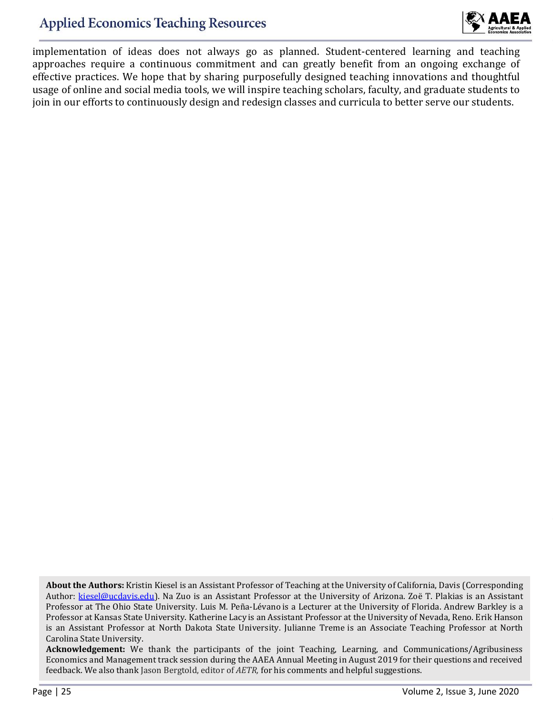

implementation of ideas does not always go as planned. Student-centered learning and teaching approaches require a continuous commitment and can greatly benefit from an ongoing exchange of effective practices. We hope that by sharing purposefully designed teaching innovations and thoughtful usage of online and social media tools, we will inspire teaching scholars, faculty, and graduate students to join in our efforts to continuously design and redesign classes and curricula to better serve our students.

**Acknowledgement:** We thank the participants of the joint Teaching, Learning, and Communications/Agribusiness Economics and Management track session during the AAEA Annual Meeting in August 2019 for their questions and received feedback. We also thank Jason Bergtold, editor of *AETR,* for his comments and helpful suggestions.

**About the Authors:** Kristin Kiesel is an Assistant Professor of Teaching at the University of California, Davis (Corresponding Author: kiesel@ucdavis.edu). Na Zuo is an Assistant Professor at the University of Arizona. Zoë T. Plakias is an Assistant Professor at The Ohio State University. Luis M. Peña-Lévano is a Lecturer at the University of Florida. Andrew Barkley is a Professor at Kansas State University. Katherine Lacy is an Assistant Professor at the University of Nevada, Reno. Erik Hanson is an Assistant Professor at North Dakota State University. Julianne Treme is an Associate Teaching Professor at North Carolina State University.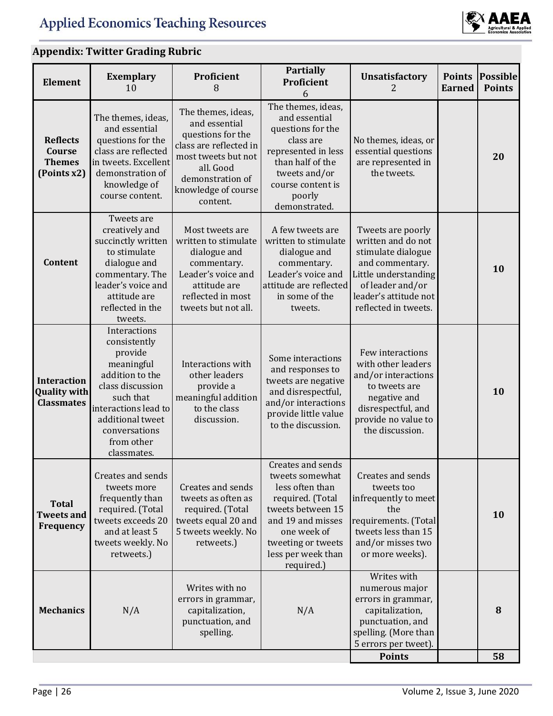

# **Appendix: Twitter Grading Rubric**

| <b>Element</b>                                                 | <b>Exemplary</b><br>10                                                                                                                                                                              | Proficient<br>8                                                                                                                                                               | <b>Partially</b><br>Proficient<br>6                                                                                                                                                            | <b>Unsatisfactory</b><br>2.                                                                                                                                                   | <b>Points</b><br><b>Earned</b> | <b>Possible</b><br><b>Points</b> |
|----------------------------------------------------------------|-----------------------------------------------------------------------------------------------------------------------------------------------------------------------------------------------------|-------------------------------------------------------------------------------------------------------------------------------------------------------------------------------|------------------------------------------------------------------------------------------------------------------------------------------------------------------------------------------------|-------------------------------------------------------------------------------------------------------------------------------------------------------------------------------|--------------------------------|----------------------------------|
| <b>Reflects</b><br>Course<br><b>Themes</b><br>(Points x2)      | The themes, ideas,<br>and essential<br>questions for the<br>class are reflected<br>in tweets. Excellent<br>demonstration of<br>knowledge of<br>course content.                                      | The themes, ideas,<br>and essential<br>questions for the<br>class are reflected in<br>most tweets but not<br>all. Good<br>demonstration of<br>knowledge of course<br>content. | The themes, ideas,<br>and essential<br>questions for the<br>class are<br>represented in less<br>than half of the<br>tweets and/or<br>course content is<br>poorly<br>demonstrated.              | No themes, ideas, or<br>essential questions<br>are represented in<br>the tweets.                                                                                              |                                | 20                               |
| Content                                                        | Tweets are<br>creatively and<br>succinctly written<br>to stimulate<br>dialogue and<br>commentary. The<br>leader's voice and<br>attitude are<br>reflected in the<br>tweets.                          | Most tweets are<br>written to stimulate<br>dialogue and<br>commentary.<br>Leader's voice and<br>attitude are<br>reflected in most<br>tweets but not all.                      | A few tweets are<br>written to stimulate<br>dialogue and<br>commentary.<br>Leader's voice and<br>attitude are reflected<br>in some of the<br>tweets.                                           | Tweets are poorly<br>written and do not<br>stimulate dialogue<br>and commentary.<br>Little understanding<br>of leader and/or<br>leader's attitude not<br>reflected in tweets. |                                | 10                               |
| <b>Interaction</b><br><b>Quality with</b><br><b>Classmates</b> | Interactions<br>consistently<br>provide<br>meaningful<br>addition to the<br>class discussion<br>such that<br>interactions lead to<br>additional tweet<br>conversations<br>from other<br>classmates. | Interactions with<br>other leaders<br>provide a<br>meaningful addition<br>to the class<br>discussion.                                                                         | Some interactions<br>and responses to<br>tweets are negative<br>and disrespectful,<br>and/or interactions<br>provide little value<br>to the discussion.                                        | Few interactions<br>with other leaders<br>and/or interactions<br>to tweets are<br>negative and<br>disrespectful, and<br>provide no value to<br>the discussion.                |                                | 10                               |
| <b>Total</b><br><b>Tweets and</b><br>Frequency                 | Creates and sends<br>tweets more<br>frequently than<br>required. (Total<br>tweets exceeds 20<br>and at least 5<br>tweets weekly. No<br>retweets.)                                                   | Creates and sends<br>tweets as often as<br>required. (Total<br>tweets equal 20 and<br>5 tweets weekly. No<br>retweets.)                                                       | Creates and sends<br>tweets somewhat<br>less often than<br>required. (Total<br>tweets between 15<br>and 19 and misses<br>one week of<br>tweeting or tweets<br>less per week than<br>required.) | Creates and sends<br>tweets too<br>infrequently to meet<br>the<br>requirements. (Total<br>tweets less than 15<br>and/or misses two<br>or more weeks).                         |                                | 10                               |
| <b>Mechanics</b>                                               | N/A                                                                                                                                                                                                 | Writes with no<br>errors in grammar,<br>capitalization,<br>punctuation, and<br>spelling.                                                                                      | N/A                                                                                                                                                                                            | Writes with<br>numerous major<br>errors in grammar,<br>capitalization,<br>punctuation, and<br>spelling. (More than<br>5 errors per tweet).<br><b>Points</b>                   |                                | 8<br>58                          |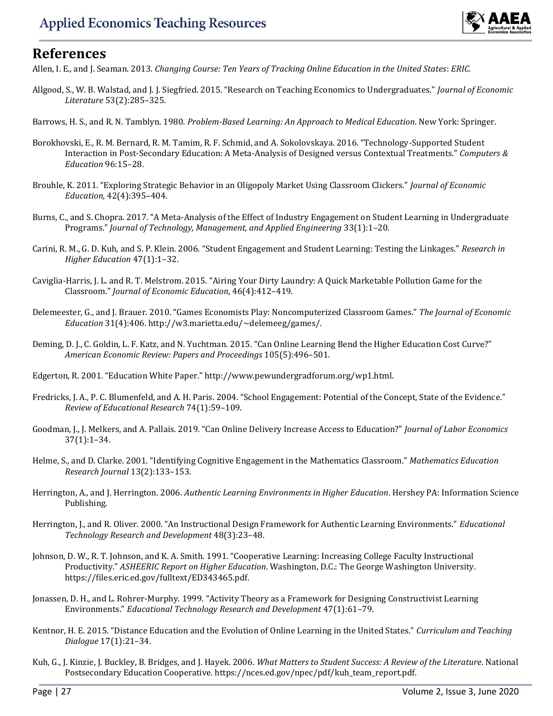

### **References**

Allen, I. E., and J. Seaman. 2013. *Changing Course: Ten Years of Tracking Online Education in the United States*: *ERIC.*

- Allgood, S., W. B. Walstad, and J. J. Siegfried. 2015. "Research on Teaching Economics to Undergraduates." *Journal of Economic Literature* 53(2):285–325.
- Barrows, H. S., and R. N. Tamblyn. 1980. *Problem-Based Learning: An Approach to Medical Education*. New York: Springer.
- Borokhovski, E., R. M. Bernard, R. M. Tamim, R. F. Schmid, and A. Sokolovskaya. 2016. "Technology-Supported Student Interaction in Post-Secondary Education: A Meta-Analysis of Designed versus Contextual Treatments." *Computers & Education* 96:15–28.
- Brouhle, K. 2011. "Exploring Strategic Behavior in an Oligopoly Market Using Classroom Clickers." *Journal of Economic Education,* 42(4):395–404.
- Burns, C., and S. Chopra. 2017. "A Meta-Analysis of the Effect of Industry Engagement on Student Learning in Undergraduate Programs." *Journal of Technology, Management, and Applied Engineering* 33(1):1–20.
- Carini, R. M., G. D. Kuh, and S. P. Klein. 2006. "Student Engagement and Student Learning: Testing the Linkages." *Research in Higher Education* 47(1):1–32.
- Caviglia-Harris, J. L. and R. T. Melstrom. 2015. "Airing Your Dirty Laundry: A Quick Marketable Pollution Game for the Classroom." *Journal of Economic Education*, 46(4):412–419.
- Delemeester, G., and J. Brauer. 2010. "Games Economists Play: Noncomputerized Classroom Games." *The Journal of Economic Education* 31(4):406. http://w3.marietta.edu/~delemeeg/games/.
- Deming, D. J., C. Goldin, L. F. Katz, and N. Yuchtman. 2015. "Can Online Learning Bend the Higher Education Cost Curve?" *American Economic Review: Papers and Proceedings* 105(5):496–501.
- Edgerton, R. 2001. "Education White Paper." http://www.pewundergradforum.org/wp1.html.
- Fredricks, J. A., P. C. Blumenfeld, and A. H. Paris. 2004. "School Engagement: Potential of the Concept, State of the Evidence." *Review of Educational Research* 74(1):59–109.
- Goodman, J., J. Melkers, and A. Pallais. 2019. "Can Online Delivery Increase Access to Education?" *Journal of Labor Economics* 37(1):1–34.
- Helme, S., and D. Clarke. 2001. "Identifying Cognitive Engagement in the Mathematics Classroom." *Mathematics Education Research Journal* 13(2):133–153.
- Herrington, A., and J. Herrington. 2006. *Authentic Learning Environments in Higher Education*. Hershey PA: Information Science Publishing.
- Herrington, J., and R. Oliver. 2000. "An Instructional Design Framework for Authentic Learning Environments." *Educational Technology Research and Development* 48(3):23–48.
- Johnson, D. W., R. T. Johnson, and K. A. Smith. 1991. "Cooperative Learning: Increasing College Faculty Instructional Productivity." *ASHEERIC Report on Higher Education*. Washington, D.C.: The George Washington University. https://files.eric.ed.gov/fulltext/ED343465.pdf.
- Jonassen, D. H., and L. Rohrer-Murphy. 1999. "Activity Theory as a Framework for Designing Constructivist Learning Environments." *Educational Technology Research and Development* 47(1):61–79.
- Kentnor, H. E. 2015. "Distance Education and the Evolution of Online Learning in the United States." *Curriculum and Teaching Dialogue* 17(1):21–34.
- Kuh, G., J. Kinzie, J. Buckley, B. Bridges, and J. Hayek. 2006. *What Matters to Student Success: A Review of the Literature*. National Postsecondary Education Cooperative. https://nces.ed.gov/npec/pdf/kuh\_team\_report.pdf.